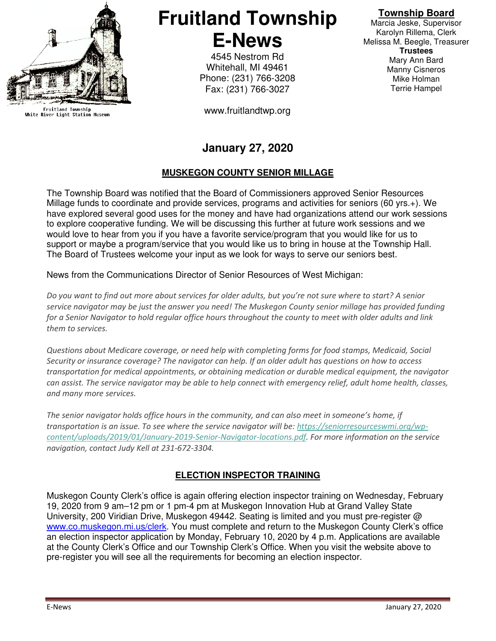

Fruitland Township<br>White River Light Station Museum

# **Fruitland Township E-News**

4545 Nestrom Rd Whitehall, MI 49461 Phone: (231) 766-3208 Fax: (231) 766-3027

www.fruitlandtwp.org

## **Township Board**

Marcia Jeske, Supervisor Karolyn Rillema, Clerk Melissa M. Beegle, Treasurer **Trustees**  Mary Ann Bard Manny Cisneros Mike Holman Terrie Hampel

## **January 27, 2020**

## **MUSKEGON COUNTY SENIOR MILLAGE**

The Township Board was notified that the Board of Commissioners approved Senior Resources Millage funds to coordinate and provide services, programs and activities for seniors (60 yrs.+). We have explored several good uses for the money and have had organizations attend our work sessions to explore cooperative funding. We will be discussing this further at future work sessions and we would love to hear from you if you have a favorite service/program that you would like for us to support or maybe a program/service that you would like us to bring in house at the Township Hall. The Board of Trustees welcome your input as we look for ways to serve our seniors best.

News from the Communications Director of Senior Resources of West Michigan:

Do you want to find out more about services for older adults, but you're not sure where to start? A senior service navigator may be just the answer you need! The Muskegon County senior millage has provided funding for a Senior Navigator to hold regular office hours throughout the county to meet with older adults and link them to services.

Questions about Medicare coverage, or need help with completing forms for food stamps, Medicaid, Social Security or insurance coverage? The navigator can help. If an older adult has questions on how to access transportation for medical appointments, or obtaining medication or durable medical equipment, the navigator can assist. The service navigator may be able to help connect with emergency relief, adult home health, classes, and many more services.

The senior navigator holds office hours in the community, and can also meet in someone's home, if transportation is an issue. To see where the service navigator will be: https://seniorresourceswmi.org/wpcontent/uploads/2019/01/January-2019-Senior-Navigator-locations.pdf. For more information on the service navigation, contact Judy Kell at 231-672-3304.

## **ELECTION INSPECTOR TRAINING**

Muskegon County Clerk's office is again offering election inspector training on Wednesday, February 19, 2020 from 9 am–12 pm or 1 pm-4 pm at Muskegon Innovation Hub at Grand Valley State University, 200 Viridian Drive, Muskegon 49442. Seating is limited and you must pre-register @ www.co.muskegon.mi.us/clerk. You must complete and return to the Muskegon County Clerk's office an election inspector application by Monday, February 10, 2020 by 4 p.m. Applications are available at the County Clerk's Office and our Township Clerk's Office. When you visit the website above to pre-register you will see all the requirements for becoming an election inspector.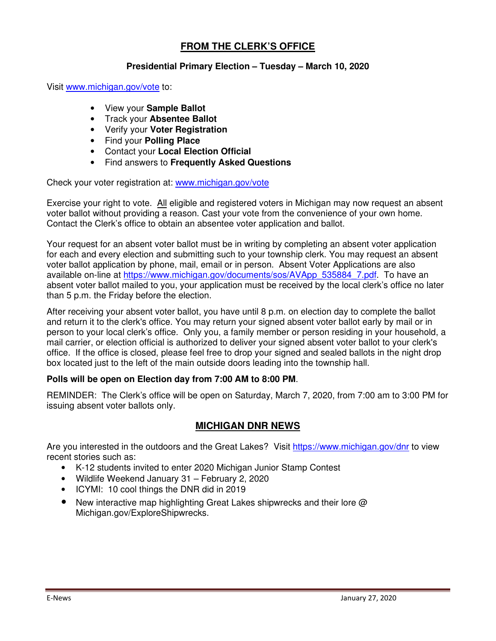## **FROM THE CLERK'S OFFICE**

#### **Presidential Primary Election – Tuesday – March 10, 2020**

Visit www.michigan.gov/vote to:

- View your **Sample Ballot**
- Track your **Absentee Ballot**
- Verify your **Voter Registration**
- Find your **Polling Place**
- Contact your **Local Election Official**
- Find answers to **Frequently Asked Questions**

Check your voter registration at: www.michigan.gov/vote

Exercise your right to vote. All eligible and registered voters in Michigan may now request an absent voter ballot without providing a reason. Cast your vote from the convenience of your own home. Contact the Clerk's office to obtain an absentee voter application and ballot.

Your request for an absent voter ballot must be in writing by completing an absent voter application for each and every election and submitting such to your township clerk. You may request an absent voter ballot application by phone, mail, email or in person. Absent Voter Applications are also available on-line at https://www.michigan.gov/documents/sos/AVApp\_535884\_7.pdf. To have an absent voter ballot mailed to you, your application must be received by the local clerk's office no later than 5 p.m. the Friday before the election.

After receiving your absent voter ballot, you have until 8 p.m. on election day to complete the ballot and return it to the clerk's office. You may return your signed absent voter ballot early by mail or in person to your local clerk's office. Only you, a family member or person residing in your household, a mail carrier, or election official is authorized to deliver your signed absent voter ballot to your clerk's office. If the office is closed, please feel free to drop your signed and sealed ballots in the night drop box located just to the left of the main outside doors leading into the township hall.

#### **Polls will be open on Election day from 7:00 AM to 8:00 PM**.

REMINDER: The Clerk's office will be open on Saturday, March 7, 2020, from 7:00 am to 3:00 PM for issuing absent voter ballots only.

#### **MICHIGAN DNR NEWS**

Are you interested in the outdoors and the Great Lakes? Visit https://www.michigan.gov/dnr to view recent stories such as:

- K-12 students invited to enter 2020 Michigan Junior Stamp Contest
- Wildlife Weekend January 31 February 2, 2020
- ICYMI: 10 cool things the DNR did in 2019
- New interactive map highlighting Great Lakes shipwrecks and their lore @ Michigan.gov/ExploreShipwrecks.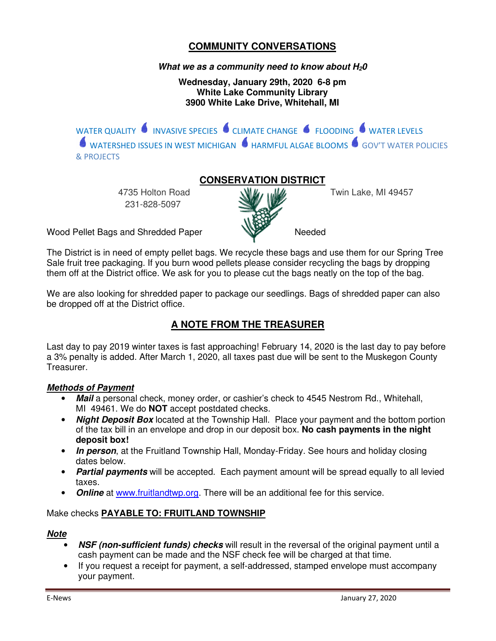## **COMMUNITY CONVERSATIONS**

#### **What we as a community need to know about H20**

**Wednesday, January 29th, 2020 6-8 pm White Lake Community Library 3900 White Lake Drive, Whitehall, MI** 

WATER QUALITY **INVASIVE SPECIES** CLIMATE CHANGE **SECULD THE SERVELS** WATERSHED ISSUES IN WEST MICHIGAN  $\bullet$  HARMFUL ALGAE BLOOMS  $\bullet$  GOV'T WATER POLICIES & PROJECTS

## **CONSERVATION DISTRICT**

231-828-5097



4735 Holton Road W.W. U.W. Twin Lake, MI 49457

Wood Pellet Bags and Shredded Paper Needed

The District is in need of empty pellet bags. We recycle these bags and use them for our Spring Tree Sale fruit tree packaging. If you burn wood pellets please consider recycling the bags by dropping them off at the District office. We ask for you to please cut the bags neatly on the top of the bag.

We are also looking for shredded paper to package our seedlings. Bags of shredded paper can also be dropped off at the District office.

## **A NOTE FROM THE TREASURER**

Last day to pay 2019 winter taxes is fast approaching! February 14, 2020 is the last day to pay before a 3% penalty is added. After March 1, 2020, all taxes past due will be sent to the Muskegon County Treasurer.

#### **Methods of Payment**

- **Mail** a personal check, money order, or cashier's check to 4545 Nestrom Rd., Whitehall, MI 49461. We do **NOT** accept postdated checks.
- **Night Deposit Box** located at the Township Hall. Place your payment and the bottom portion of the tax bill in an envelope and drop in our deposit box. **No cash payments in the night deposit box!**
- **In person**, at the Fruitland Township Hall, Monday-Friday. See hours and holiday closing dates below.
- **Partial payments** will be accepted. Each payment amount will be spread equally to all levied taxes.
- **Online** at www.fruitlandtwp.org. There will be an additional fee for this service.

#### Make checks **PAYABLE TO: FRUITLAND TOWNSHIP**

#### **Note**

- **NSF (non-sufficient funds) checks** will result in the reversal of the original payment until a cash payment can be made and the NSF check fee will be charged at that time.
- If you request a receipt for payment, a self-addressed, stamped envelope must accompany your payment.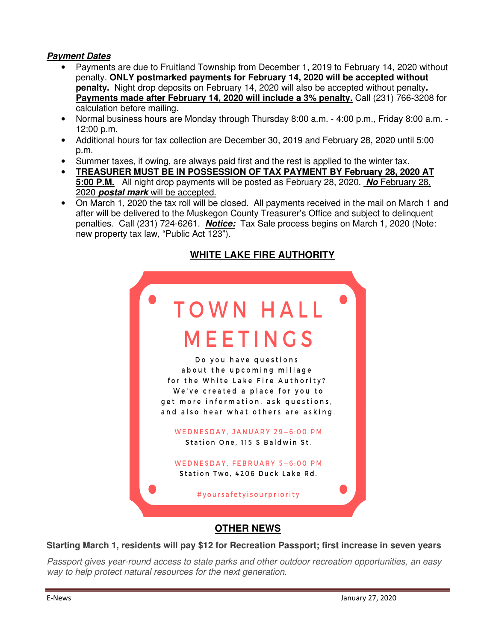#### **Payment Dates**

- Payments are due to Fruitland Township from December 1, 2019 to February 14, 2020 without penalty. **ONLY postmarked payments for February 14, 2020 will be accepted without penalty.** Night drop deposits on February 14, 2020 will also be accepted without penalty**. Payments made after February 14, 2020 will include a 3% penalty.** Call (231) 766-3208 for calculation before mailing.
- Normal business hours are Monday through Thursday 8:00 a.m. 4:00 p.m., Friday 8:00 a.m. 12:00 p.m.
- Additional hours for tax collection are December 30, 2019 and February 28, 2020 until 5:00 p.m.
- Summer taxes, if owing, are always paid first and the rest is applied to the winter tax.
- **TREASURER MUST BE IN POSSESSION OF TAX PAYMENT BY February 28, 2020 AT 5:00 P.M.** All night drop payments will be posted as February 28, 2020. **No** February 28, 2020 **postal mark** will be accepted.
- On March 1, 2020 the tax roll will be closed. All payments received in the mail on March 1 and after will be delivered to the Muskegon County Treasurer's Office and subject to delinquent penalties. Call (231) 724-6261. **Notice:** Tax Sale process begins on March 1, 2020 (Note: new property tax law, "Public Act 123").

## **WHITE LAKE FIRE AUTHORITY**

| <b>TOWN HALL</b>                                                                                                                                                                                               |  |
|----------------------------------------------------------------------------------------------------------------------------------------------------------------------------------------------------------------|--|
| MEETINGS                                                                                                                                                                                                       |  |
| Do you have questions<br>about the upcoming millage<br>for the White Lake Fire Authority?<br>We've created a place for you to<br>get more information, ask questions,<br>and also hear what others are asking. |  |
| WEDNESDAY, JANUARY 29-6:00 PM<br>Station One. 115 S Baldwin St.                                                                                                                                                |  |
| WEDNESDAY, FEBRUARY 5-6:00 PM<br>Station Two, 4206 Duck Lake Rd.                                                                                                                                               |  |
| #yoursafetyisourpriority                                                                                                                                                                                       |  |

## **OTHER NEWS**

#### **Starting March 1, residents will pay \$12 for Recreation Passport; first increase in seven years**

Passport gives year-round access to state parks and other outdoor recreation opportunities, an easy way to help protect natural resources for the next generation.